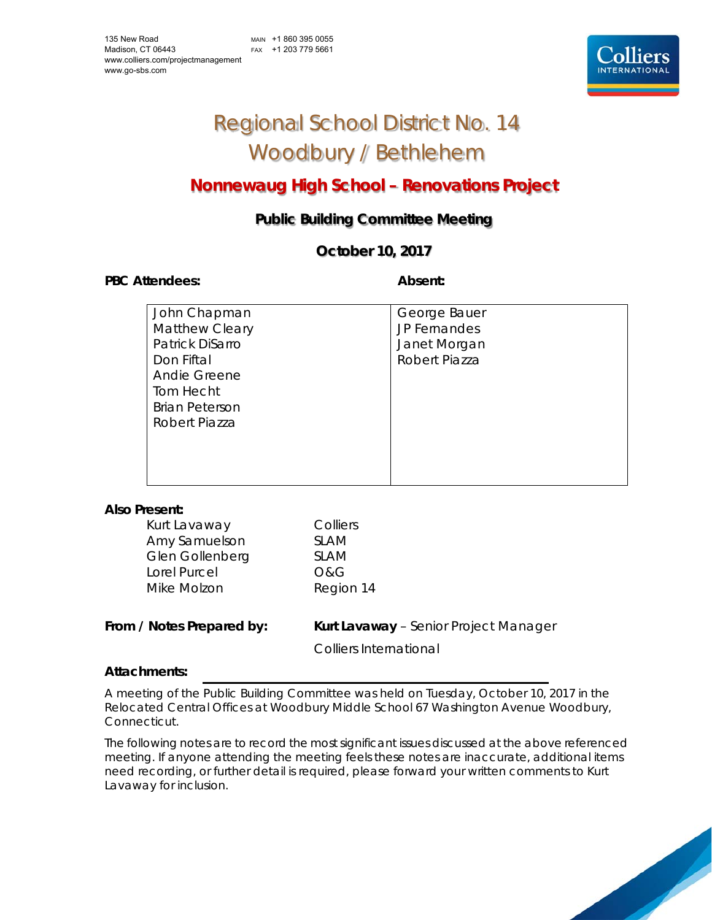# Regional School District No. 14 Woodbury / Bethlehem

# **Nonnewaug High School – Renovations Project**

# **Public Building Committee Meeting**

## **October 10, 2017**

#### PBC Attendees: **Absent: Absent: Absent: Absent:**

| John Chapman          | George Bauer        |
|-----------------------|---------------------|
| <b>Matthew Cleary</b> | <b>JP Fernandes</b> |
| Patrick DiSarro       | Janet Morgan        |
| Don Fiftal            | Robert Piazza       |
| Andie Greene          |                     |
| Tom Hecht             |                     |
| <b>Brian Peterson</b> |                     |
| Robert Piazza         |                     |
|                       |                     |
|                       |                     |
|                       |                     |

#### **Also Present:**

| Kurt Lavaway    |  |
|-----------------|--|
| Amy Samuelson   |  |
| Glen Gollenberg |  |
| Lorel Purcel    |  |
| Mike Molzon     |  |

Colliers SLAM SLAM O&G Region 14

### **From / Notes Prepared by:** Kurt Lavaway – Senior Project Manager

Colliers International

### **Attachments:**

A meeting of the Public Building Committee was held on Tuesday, October 10, 2017 in the Relocated Central Offices at Woodbury Middle School 67 Washington Avenue Woodbury, Connecticut.

The following notes are to record the most significant issues discussed at the above referenced meeting. If anyone attending the meeting feels these notes are inaccurate, additional items need recording, or further detail is required, please forward your written comments to Kurt Lavaway for inclusion.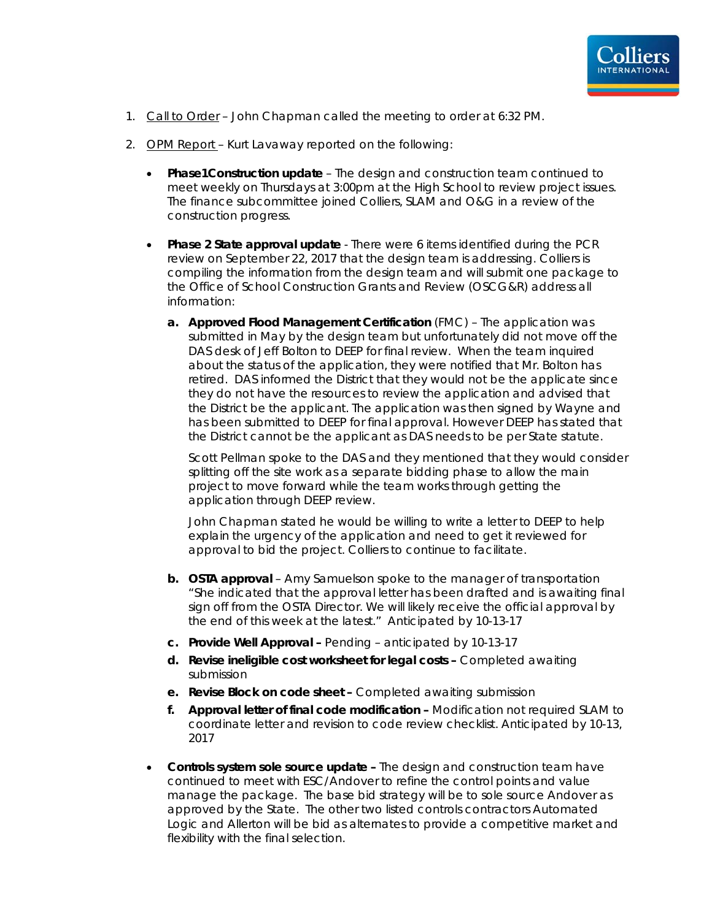

- 1. Call to Order John Chapman called the meeting to order at 6:32 PM.
- 2. OPM Report Kurt Lavaway reported on the following:
	- **Phase1Construction update** The design and construction team continued to meet weekly on Thursdays at 3:00pm at the High School to review project issues. The finance subcommittee joined Colliers, SLAM and O&G in a review of the construction progress.
	- **Phase 2 State approval update** There were 6 items identified during the PCR review on September 22, 2017 that the design team is addressing. Colliers is compiling the information from the design team and will submit one package to the Office of School Construction Grants and Review (OSCG&R) address all information:
		- **a. Approved Flood Management Certification** (FMC) The application was submitted in May by the design team but unfortunately did not move off the DAS desk of Jeff Bolton to DEEP for final review. When the team inquired about the status of the application, they were notified that Mr. Bolton has retired. DAS informed the District that they would not be the applicate since they do not have the resources to review the application and advised that the District be the applicant. The application was then signed by Wayne and has been submitted to DEEP for final approval. However DEEP has stated that the District cannot be the applicant as DAS needs to be per State statute.

Scott Pellman spoke to the DAS and they mentioned that they would consider splitting off the site work as a separate bidding phase to allow the main project to move forward while the team works through getting the application through DEEP review.

John Chapman stated he would be willing to write a letter to DEEP to help explain the urgency of the application and need to get it reviewed for approval to bid the project. Colliers to continue to facilitate.

- **b. OSTA approval** Amy Samuelson spoke to the manager of transportation *"She indicated that the approval letter has been drafted and is awaiting final sign off from the OSTA Director. We will likely receive the official approval by the end of this week at the latest."* Anticipated by 10-13-17
- **c. Provide Well Approval** Pending anticipated by 10-13-17
- **d. Revise ineligible cost worksheet for legal costs** Completed awaiting submission
- **e. Revise Block on code sheet** Completed awaiting submission
- **f. Approval letter of final code modification** Modification not required SLAM to coordinate letter and revision to code review checklist. Anticipated by 10-13, 2017
- **Controls system sole source update -** The design and construction team have continued to meet with ESC/Andover to refine the control points and value manage the package. The base bid strategy will be to sole source Andover as approved by the State. The other two listed controls contractors Automated Logic and Allerton will be bid as alternates to provide a competitive market and flexibility with the final selection.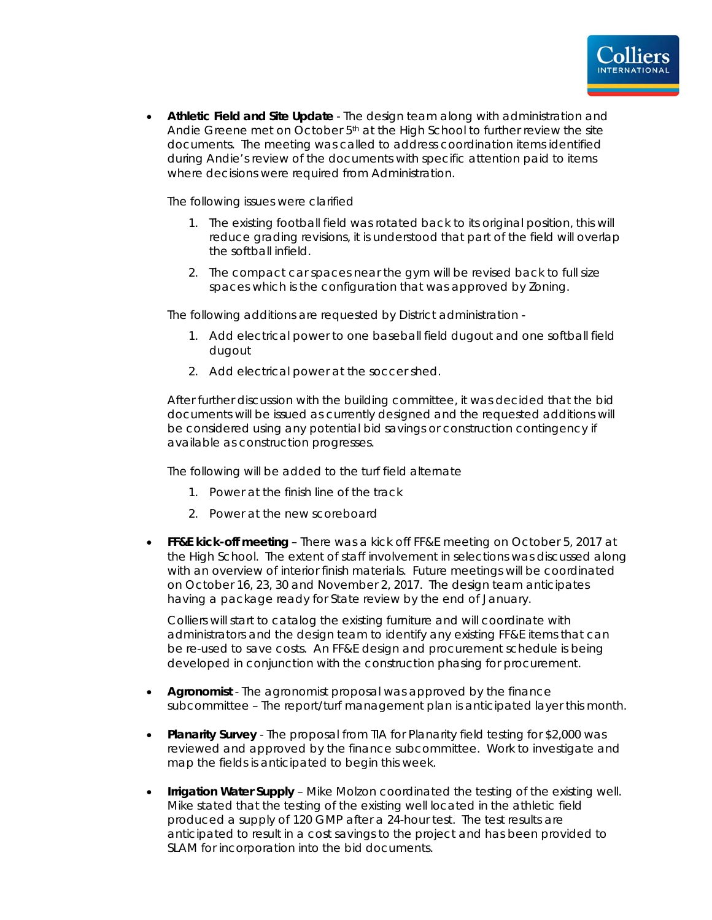

 **Athletic Field and Site Update** - The design team along with administration and Andie Greene met on October 5th at the High School to further review the site documents. The meeting was called to address coordination items identified during Andie's review of the documents with specific attention paid to items where decisions were required from Administration.

The following issues were clarified

- 1. The existing football field was rotated back to its original position, this will reduce grading revisions, it is understood that part of the field will overlap the softball infield.
- 2. The compact car spaces near the gym will be revised back to full size spaces which is the configuration that was approved by Zoning.

The following additions are requested by District administration -

- 1. Add electrical power to one baseball field dugout and one softball field dugout
- 2. Add electrical power at the soccer shed.

After further discussion with the building committee, it was decided that the bid documents will be issued as currently designed and the requested additions will be considered using any potential bid savings or construction contingency if available as construction progresses.

The following will be added to the turf field alternate

- 1. Power at the finish line of the track
- 2. Power at the new scoreboard
- **FF&E kick-off meeting** There was a kick off FF&E meeting on October 5, 2017 at the High School. The extent of staff involvement in selections was discussed along with an overview of interior finish materials. Future meetings will be coordinated on October 16, 23, 30 and November 2, 2017. The design team anticipates having a package ready for State review by the end of January.

Colliers will start to catalog the existing furniture and will coordinate with administrators and the design team to identify any existing FF&E items that can be re-used to save costs. An FF&E design and procurement schedule is being developed in conjunction with the construction phasing for procurement.

- **Agronomist** The agronomist proposal was approved by the finance subcommittee – The report/turf management plan is anticipated layer this month.
- **Planarity Survey**  The proposal from TIA for Planarity field testing for \$2,000 was reviewed and approved by the finance subcommittee. Work to investigate and map the fields is anticipated to begin this week.
- **Irrigation Water Supply** Mike Molzon coordinated the testing of the existing well. Mike stated that the testing of the existing well located in the athletic field produced a supply of 120 GMP after a 24-hour test. The test results are anticipated to result in a cost savings to the project and has been provided to SLAM for incorporation into the bid documents.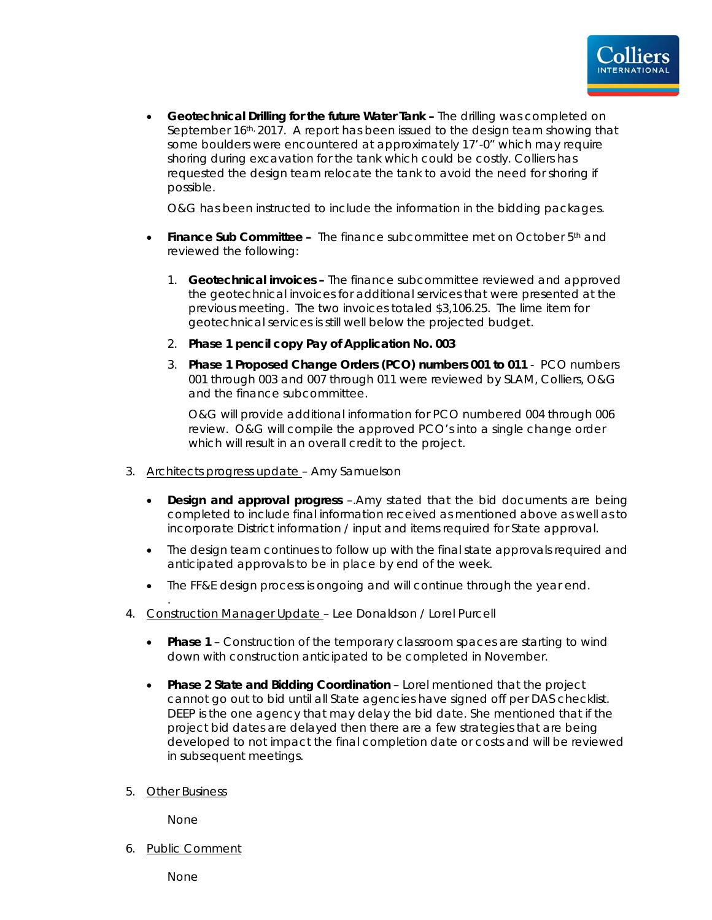

 **Geotechnical Drilling for the future Water Tank –** The drilling was completed on September 16th, 2017. A report has been issued to the design team showing that some boulders were encountered at approximately 17'-0" which may require shoring during excavation for the tank which could be costly. Colliers has requested the design team relocate the tank to avoid the need for shoring if possible.

O&G has been instructed to include the information in the bidding packages.

- **Finance Sub Committee -** The finance subcommittee met on October 5<sup>th</sup> and reviewed the following:
	- 1. **Geotechnical invoices** The finance subcommittee reviewed and approved the geotechnical invoices for additional services that were presented at the previous meeting. The two invoices totaled \$3,106.25. The lime item for geotechnical services is still well below the projected budget.
	- 2. **Phase 1 pencil copy Pay of Application No. 003**
	- 3. **Phase 1 Proposed Change Orders (PCO) numbers 001 to 011** PCO numbers 001 through 003 and 007 through 011 were reviewed by SLAM, Colliers, O&G and the finance subcommittee.

O&G will provide additional information for PCO numbered 004 through 006 review. O&G will compile the approved PCO's into a single change order which will result in an overall credit to the project.

- 3. Architects progress update Amy Samuelson
	- **Design and approval progress** –.Amy stated that the bid documents are being completed to include final information received as mentioned above as well as to incorporate District information / input and items required for State approval.
	- The design team continues to follow up with the final state approvals required and anticipated approvals to be in place by end of the week.
	- The FF&E design process is ongoing and will continue through the year end.
- 4. Construction Manager Update Lee Donaldson / Lorel Purcell
	- **Phase 1**  Construction of the temporary classroom spaces are starting to wind down with construction anticipated to be completed in November.
	- **Phase 2 State and Bidding Coordination** Lorel mentioned that the project cannot go out to bid until all State agencies have signed off per DAS checklist. DEEP is the one agency that may delay the bid date. She mentioned that if the project bid dates are delayed then there are a few strategies that are being developed to not impact the final completion date or costs and will be reviewed in subsequent meetings.
- 5. Other Business

.

None

6. Public Comment

None